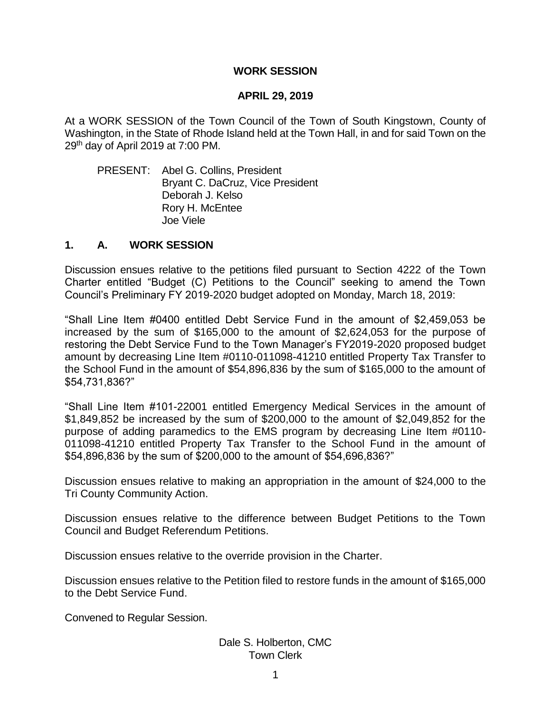## **WORK SESSION**

## **APRIL 29, 2019**

At a WORK SESSION of the Town Council of the Town of South Kingstown, County of Washington, in the State of Rhode Island held at the Town Hall, in and for said Town on the 29<sup>th</sup> day of April 2019 at 7:00 PM.

PRESENT: Abel G. Collins, President Bryant C. DaCruz, Vice President Deborah J. Kelso Rory H. McEntee Joe Viele

## **1. A. WORK SESSION**

Discussion ensues relative to the petitions filed pursuant to Section 4222 of the Town Charter entitled "Budget (C) Petitions to the Council" seeking to amend the Town Council's Preliminary FY 2019-2020 budget adopted on Monday, March 18, 2019:

"Shall Line Item #0400 entitled Debt Service Fund in the amount of \$2,459,053 be increased by the sum of \$165,000 to the amount of \$2,624,053 for the purpose of restoring the Debt Service Fund to the Town Manager's FY2019-2020 proposed budget amount by decreasing Line Item #0110-011098-41210 entitled Property Tax Transfer to the School Fund in the amount of \$54,896,836 by the sum of \$165,000 to the amount of \$54,731,836?"

"Shall Line Item #101-22001 entitled Emergency Medical Services in the amount of \$1,849,852 be increased by the sum of \$200,000 to the amount of \$2,049,852 for the purpose of adding paramedics to the EMS program by decreasing Line Item #0110- 011098-41210 entitled Property Tax Transfer to the School Fund in the amount of \$54,896,836 by the sum of \$200,000 to the amount of \$54,696,836?"

Discussion ensues relative to making an appropriation in the amount of \$24,000 to the Tri County Community Action.

Discussion ensues relative to the difference between Budget Petitions to the Town Council and Budget Referendum Petitions.

Discussion ensues relative to the override provision in the Charter.

Discussion ensues relative to the Petition filed to restore funds in the amount of \$165,000 to the Debt Service Fund.

Convened to Regular Session.

Dale S. Holberton, CMC Town Clerk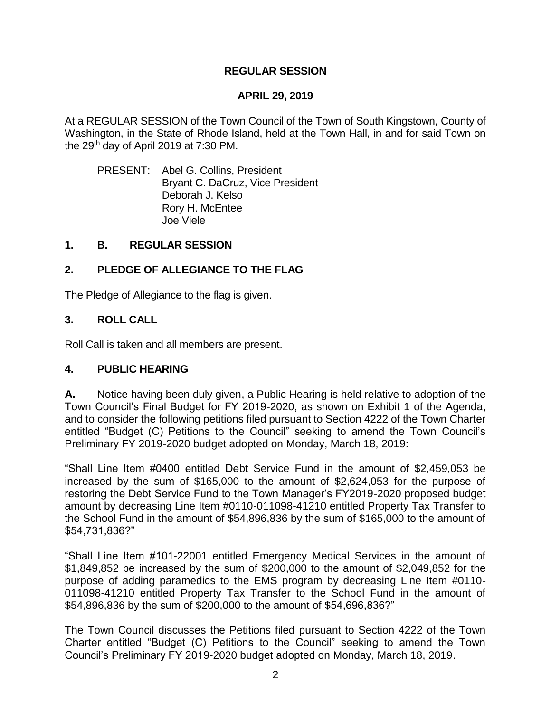# **APRIL 29, 2019**

At a REGULAR SESSION of the Town Council of the Town of South Kingstown, County of Washington, in the State of Rhode Island, held at the Town Hall, in and for said Town on the 29<sup>th</sup> day of April 2019 at 7:30 PM.

PRESENT: Abel G. Collins, President Bryant C. DaCruz, Vice President Deborah J. Kelso Rory H. McEntee Joe Viele

# **1. B. REGULAR SESSION**

# **2. PLEDGE OF ALLEGIANCE TO THE FLAG**

The Pledge of Allegiance to the flag is given.

# **3. ROLL CALL**

Roll Call is taken and all members are present.

# **4. PUBLIC HEARING**

**A.** Notice having been duly given, a Public Hearing is held relative to adoption of the Town Council's Final Budget for FY 2019-2020, as shown on Exhibit 1 of the Agenda, and to consider the following petitions filed pursuant to Section 4222 of the Town Charter entitled "Budget (C) Petitions to the Council" seeking to amend the Town Council's Preliminary FY 2019-2020 budget adopted on Monday, March 18, 2019:

"Shall Line Item #0400 entitled Debt Service Fund in the amount of \$2,459,053 be increased by the sum of \$165,000 to the amount of \$2,624,053 for the purpose of restoring the Debt Service Fund to the Town Manager's FY2019-2020 proposed budget amount by decreasing Line Item #0110-011098-41210 entitled Property Tax Transfer to the School Fund in the amount of \$54,896,836 by the sum of \$165,000 to the amount of \$54,731,836?"

"Shall Line Item #101-22001 entitled Emergency Medical Services in the amount of \$1,849,852 be increased by the sum of \$200,000 to the amount of \$2,049,852 for the purpose of adding paramedics to the EMS program by decreasing Line Item #0110- 011098-41210 entitled Property Tax Transfer to the School Fund in the amount of \$54,896,836 by the sum of \$200,000 to the amount of \$54,696,836?"

The Town Council discusses the Petitions filed pursuant to Section 4222 of the Town Charter entitled "Budget (C) Petitions to the Council" seeking to amend the Town Council's Preliminary FY 2019-2020 budget adopted on Monday, March 18, 2019.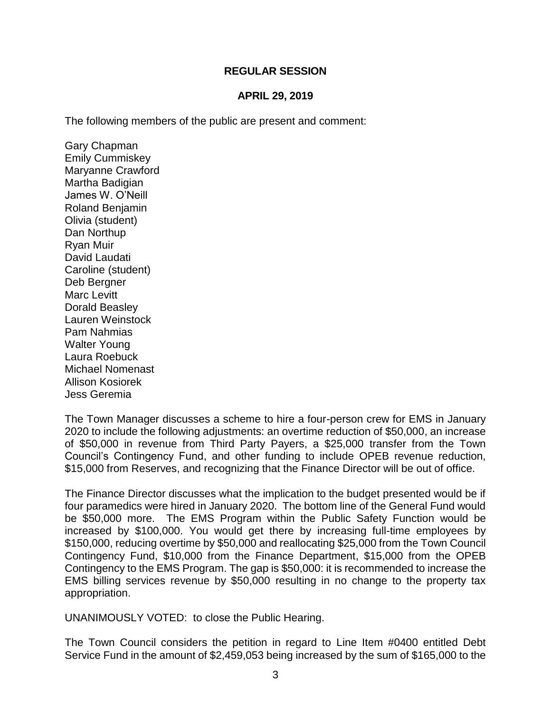# **APRIL 29, 2019**

The following members of the public are present and comment:

Gary Chapman Emily Cummiskey Maryanne Crawford Martha Badigian James W. O'Neill Roland Benjamin Olivia (student) Dan Northup Ryan Muir David Laudati Caroline (student) Deb Bergner Marc Levitt Dorald Beasley Lauren Weinstock Pam Nahmias Walter Young Laura Roebuck Michael Nomenast Allison Kosiorek Jess Geremia

The Town Manager discusses a scheme to hire a four-person crew for EMS in January 2020 to include the following adjustments: an overtime reduction of \$50,000, an increase of \$50,000 in revenue from Third Party Payers, a \$25,000 transfer from the Town Council's Contingency Fund, and other funding to include OPEB revenue reduction, \$15,000 from Reserves, and recognizing that the Finance Director will be out of office.

The Finance Director discusses what the implication to the budget presented would be if four paramedics were hired in January 2020. The bottom line of the General Fund would be \$50,000 more. The EMS Program within the Public Safety Function would be increased by \$100,000. You would get there by increasing full-time employees by \$150,000, reducing overtime by \$50,000 and reallocating \$25,000 from the Town Council Contingency Fund, \$10,000 from the Finance Department, \$15,000 from the OPEB Contingency to the EMS Program. The gap is \$50,000: it is recommended to increase the EMS billing services revenue by \$50,000 resulting in no change to the property tax appropriation.

UNANIMOUSLY VOTED: to close the Public Hearing.

The Town Council considers the petition in regard to Line Item #0400 entitled Debt Service Fund in the amount of \$2,459,053 being increased by the sum of \$165,000 to the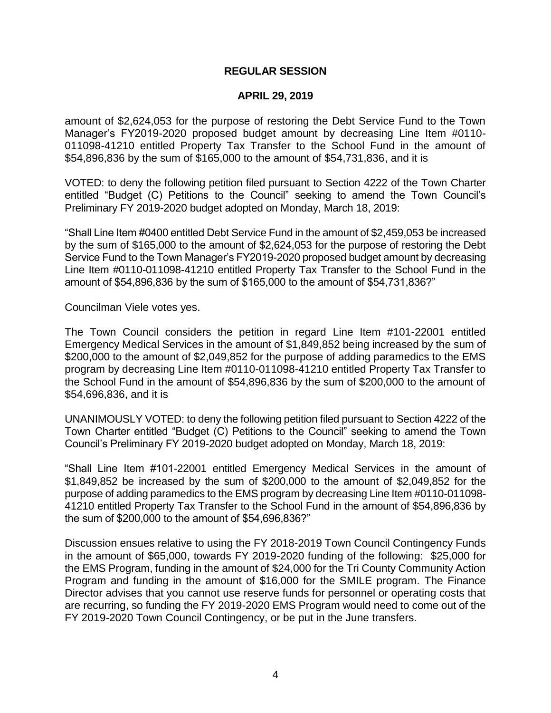## **APRIL 29, 2019**

amount of \$2,624,053 for the purpose of restoring the Debt Service Fund to the Town Manager's FY2019-2020 proposed budget amount by decreasing Line Item #0110- 011098-41210 entitled Property Tax Transfer to the School Fund in the amount of \$54,896,836 by the sum of \$165,000 to the amount of \$54,731,836, and it is

VOTED: to deny the following petition filed pursuant to Section 4222 of the Town Charter entitled "Budget (C) Petitions to the Council" seeking to amend the Town Council's Preliminary FY 2019-2020 budget adopted on Monday, March 18, 2019:

"Shall Line Item #0400 entitled Debt Service Fund in the amount of \$2,459,053 be increased by the sum of \$165,000 to the amount of \$2,624,053 for the purpose of restoring the Debt Service Fund to the Town Manager's FY2019-2020 proposed budget amount by decreasing Line Item #0110-011098-41210 entitled Property Tax Transfer to the School Fund in the amount of \$54,896,836 by the sum of \$165,000 to the amount of \$54,731,836?"

Councilman Viele votes yes.

The Town Council considers the petition in regard Line Item #101-22001 entitled Emergency Medical Services in the amount of \$1,849,852 being increased by the sum of \$200,000 to the amount of \$2,049,852 for the purpose of adding paramedics to the EMS program by decreasing Line Item #0110-011098-41210 entitled Property Tax Transfer to the School Fund in the amount of \$54,896,836 by the sum of \$200,000 to the amount of \$54,696,836, and it is

UNANIMOUSLY VOTED: to deny the following petition filed pursuant to Section 4222 of the Town Charter entitled "Budget (C) Petitions to the Council" seeking to amend the Town Council's Preliminary FY 2019-2020 budget adopted on Monday, March 18, 2019:

"Shall Line Item #101-22001 entitled Emergency Medical Services in the amount of \$1,849,852 be increased by the sum of \$200,000 to the amount of \$2,049,852 for the purpose of adding paramedics to the EMS program by decreasing Line Item #0110-011098- 41210 entitled Property Tax Transfer to the School Fund in the amount of \$54,896,836 by the sum of \$200,000 to the amount of \$54,696,836?"

Discussion ensues relative to using the FY 2018-2019 Town Council Contingency Funds in the amount of \$65,000, towards FY 2019-2020 funding of the following: \$25,000 for the EMS Program, funding in the amount of \$24,000 for the Tri County Community Action Program and funding in the amount of \$16,000 for the SMILE program. The Finance Director advises that you cannot use reserve funds for personnel or operating costs that are recurring, so funding the FY 2019-2020 EMS Program would need to come out of the FY 2019-2020 Town Council Contingency, or be put in the June transfers.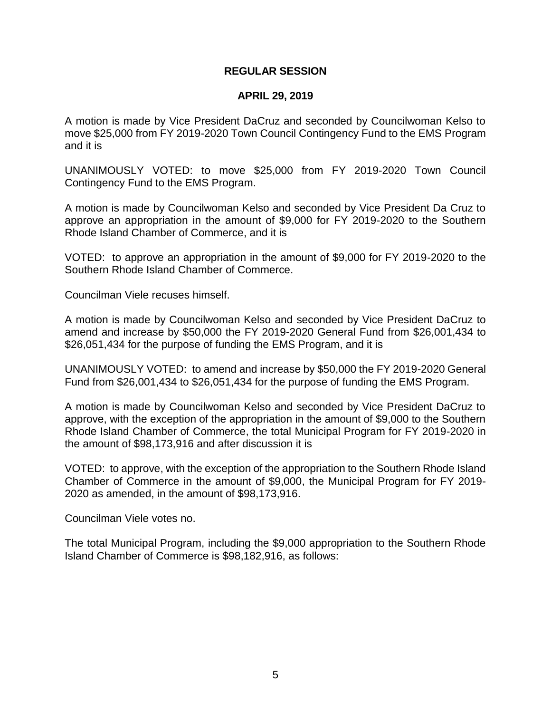## **APRIL 29, 2019**

A motion is made by Vice President DaCruz and seconded by Councilwoman Kelso to move \$25,000 from FY 2019-2020 Town Council Contingency Fund to the EMS Program and it is

UNANIMOUSLY VOTED: to move \$25,000 from FY 2019-2020 Town Council Contingency Fund to the EMS Program.

A motion is made by Councilwoman Kelso and seconded by Vice President Da Cruz to approve an appropriation in the amount of \$9,000 for FY 2019-2020 to the Southern Rhode Island Chamber of Commerce, and it is

VOTED: to approve an appropriation in the amount of \$9,000 for FY 2019-2020 to the Southern Rhode Island Chamber of Commerce.

Councilman Viele recuses himself.

A motion is made by Councilwoman Kelso and seconded by Vice President DaCruz to amend and increase by \$50,000 the FY 2019-2020 General Fund from \$26,001,434 to \$26,051,434 for the purpose of funding the EMS Program, and it is

UNANIMOUSLY VOTED: to amend and increase by \$50,000 the FY 2019-2020 General Fund from \$26,001,434 to \$26,051,434 for the purpose of funding the EMS Program.

A motion is made by Councilwoman Kelso and seconded by Vice President DaCruz to approve, with the exception of the appropriation in the amount of \$9,000 to the Southern Rhode Island Chamber of Commerce, the total Municipal Program for FY 2019-2020 in the amount of \$98,173,916 and after discussion it is

VOTED: to approve, with the exception of the appropriation to the Southern Rhode Island Chamber of Commerce in the amount of \$9,000, the Municipal Program for FY 2019- 2020 as amended, in the amount of \$98,173,916.

Councilman Viele votes no.

The total Municipal Program, including the \$9,000 appropriation to the Southern Rhode Island Chamber of Commerce is \$98,182,916, as follows: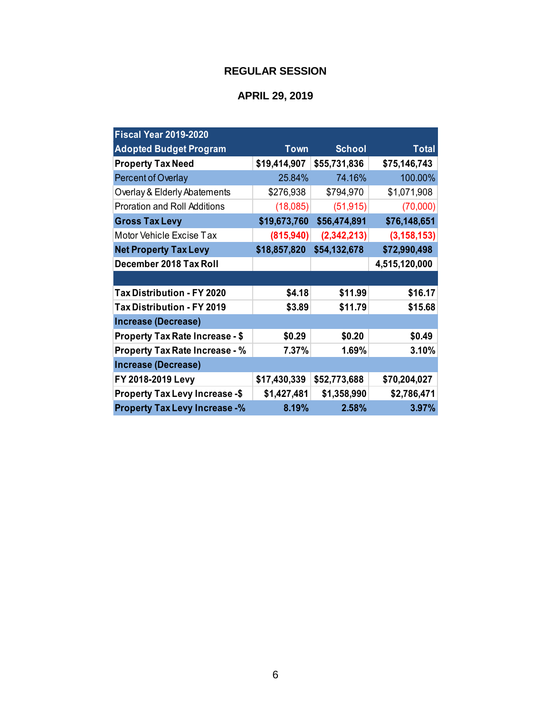| <b>Fiscal Year 2019-2020</b>           |              |               |               |
|----------------------------------------|--------------|---------------|---------------|
| <b>Adopted Budget Program</b>          | <b>Town</b>  | <b>School</b> | <b>Total</b>  |
| <b>Property Tax Need</b>               | \$19,414,907 | \$55,731,836  | \$75,146,743  |
| <b>Percent of Overlay</b>              | 25.84%       | 74.16%        | 100.00%       |
| Overlay & Elderly Abatements           | \$276,938    | \$794,970     | \$1,071,908   |
| <b>Proration and Roll Additions</b>    | (18,085)     | (51, 915)     | (70,000)      |
| <b>Gross Tax Levy</b>                  | \$19,673,760 | \$56,474,891  | \$76,148,651  |
| Motor Vehicle Excise Tax               | (815, 940)   | (2,342,213)   | (3, 158, 153) |
| <b>Net Property Tax Levy</b>           | \$18,857,820 | \$54,132,678  | \$72,990,498  |
| December 2018 Tax Roll                 |              |               | 4,515,120,000 |
|                                        |              |               |               |
| <b>Tax Distribution - FY 2020</b>      | \$4.18       | \$11.99       | \$16.17       |
| Tax Distribution - FY 2019             | \$3.89       | \$11.79       | \$15.68       |
| <b>Increase (Decrease)</b>             |              |               |               |
| <b>Property Tax Rate Increase - \$</b> | \$0.29       | \$0.20        | \$0.49        |
| <b>Property Tax Rate Increase - %</b>  | 7.37%        | 1.69%         | 3.10%         |
| <b>Increase (Decrease)</b>             |              |               |               |
| FY 2018-2019 Levy                      | \$17,430,339 | \$52,773,688  | \$70,204,027  |
| <b>Property Tax Levy Increase -\$</b>  | \$1,427,481  | \$1,358,990   | \$2,786,471   |
| <b>Property Tax Levy Increase -%</b>   | 8.19%        | 2.58%         | 3.97%         |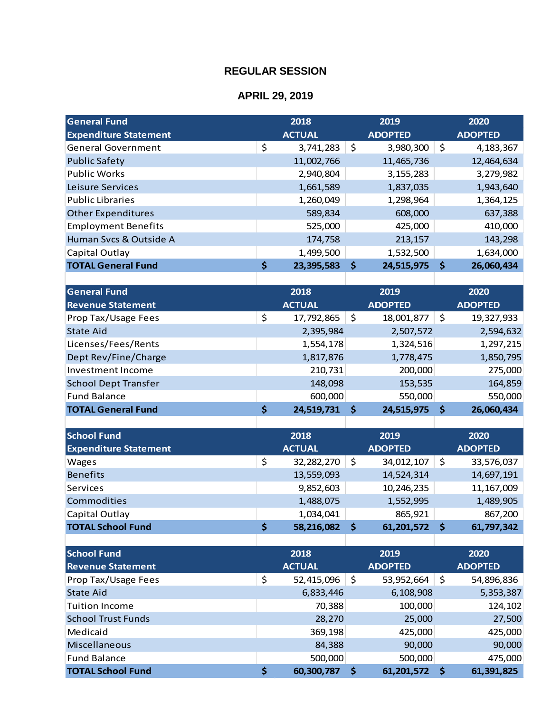| <b>General Fund</b>          | 2018             |                     | 2019           |     | 2020           |
|------------------------------|------------------|---------------------|----------------|-----|----------------|
| <b>Expenditure Statement</b> | <b>ACTUAL</b>    |                     | <b>ADOPTED</b> |     | <b>ADOPTED</b> |
| <b>General Government</b>    | \$<br>3,741,283  | \$                  | 3,980,300      | \$  | 4, 183, 367    |
| <b>Public Safety</b>         | 11,002,766       |                     | 11,465,736     |     | 12,464,634     |
| <b>Public Works</b>          | 2,940,804        |                     | 3, 155, 283    |     | 3,279,982      |
| Leisure Services             | 1,661,589        |                     | 1,837,035      |     | 1,943,640      |
| <b>Public Libraries</b>      | 1,260,049        |                     | 1,298,964      |     | 1,364,125      |
| <b>Other Expenditures</b>    | 589,834          |                     | 608,000        |     | 637,388        |
| <b>Employment Benefits</b>   | 525,000          |                     | 425,000        |     | 410,000        |
| Human Svcs & Outside A       | 174,758          |                     | 213,157        |     | 143,298        |
| Capital Outlay               | 1,499,500        |                     | 1,532,500      |     | 1,634,000      |
| <b>TOTAL General Fund</b>    | \$<br>23,395,583 | \$                  | 24,515,975     | \$  | 26,060,434     |
|                              |                  |                     |                |     |                |
| <b>General Fund</b>          | 2018             |                     | 2019           |     | 2020           |
| <b>Revenue Statement</b>     | <b>ACTUAL</b>    |                     | <b>ADOPTED</b> |     | <b>ADOPTED</b> |
| Prop Tax/Usage Fees          | \$<br>17,792,865 | \$                  | 18,001,877     | \$  | 19,327,933     |
| <b>State Aid</b>             | 2,395,984        |                     | 2,507,572      |     | 2,594,632      |
| Licenses/Fees/Rents          | 1,554,178        |                     | 1,324,516      |     | 1,297,215      |
| Dept Rev/Fine/Charge         | 1,817,876        |                     | 1,778,475      |     | 1,850,795      |
| <b>Investment Income</b>     | 210,731          |                     | 200,000        |     | 275,000        |
| <b>School Dept Transfer</b>  | 148,098          |                     | 153,535        |     | 164,859        |
| <b>Fund Balance</b>          | 600,000          |                     | 550,000        |     | 550,000        |
| <b>TOTAL General Fund</b>    | \$<br>24,519,731 | $\ddot{\bm{\zeta}}$ | 24,515,975     | \$  | 26,060,434     |
|                              |                  |                     |                |     |                |
| <b>School Fund</b>           | 2018             |                     | 2019           |     | 2020           |
| <b>Expenditure Statement</b> | <b>ACTUAL</b>    |                     | <b>ADOPTED</b> |     | <b>ADOPTED</b> |
| Wages                        | \$<br>32,282,270 | \$                  | 34,012,107     | \$  | 33,576,037     |
| <b>Benefits</b>              | 13,559,093       |                     | 14,524,314     |     | 14,697,191     |
| Services                     | 9,852,603        |                     | 10,246,235     |     | 11, 167, 009   |
| Commodities                  | 1,488,075        |                     | 1,552,995      |     | 1,489,905      |
| Capital Outlay               | 1,034,041        |                     | 865,921        |     | 867,200        |
| <b>TOTAL School Fund</b>     | \$<br>58,216,082 | \$                  | 61,201,572     | \$. | 61,797,342     |
|                              |                  |                     |                |     |                |
| <b>School Fund</b>           | 2018             |                     | 2019           |     | 2020           |
| <b>Revenue Statement</b>     | <b>ACTUAL</b>    |                     | <b>ADOPTED</b> |     | <b>ADOPTED</b> |
| Prop Tax/Usage Fees          | \$<br>52,415,096 | \$                  | 53,952,664     | \$  | 54,896,836     |
| <b>State Aid</b>             | 6,833,446        |                     | 6,108,908      |     | 5,353,387      |
| <b>Tuition Income</b>        | 70,388           |                     | 100,000        |     | 124,102        |
| <b>School Trust Funds</b>    | 28,270           |                     | 25,000         |     | 27,500         |
| Medicaid                     | 369,198          |                     | 425,000        |     | 425,000        |
| Miscellaneous                | 84,388           |                     | 90,000         |     | 90,000         |
| <b>Fund Balance</b>          | 500,000          |                     | 500,000        |     | 475,000        |
| <b>TOTAL School Fund</b>     | \$<br>60,300,787 | \$                  | 61,201,572     | \$  | 61,391,825     |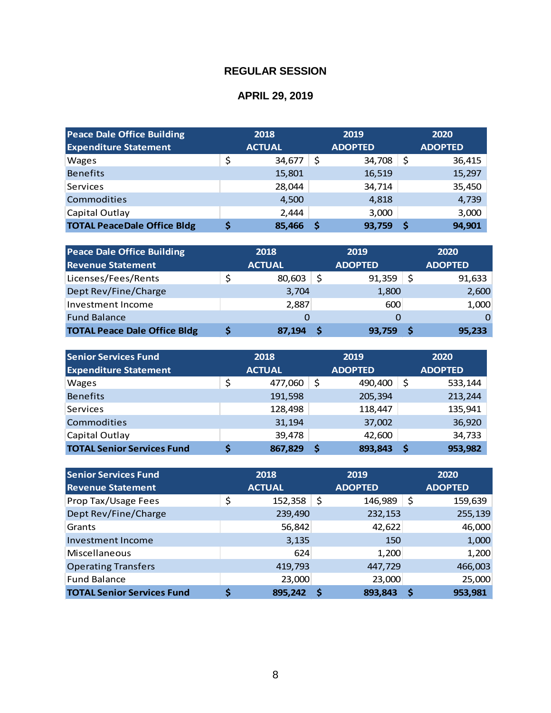| <b>Peace Dale Office Building</b>  | 2018          |    | 2019           | 2020           |
|------------------------------------|---------------|----|----------------|----------------|
| <b>Expenditure Statement</b>       | <b>ACTUAL</b> |    | <b>ADOPTED</b> | <b>ADOPTED</b> |
| <b>Wages</b>                       | \$<br>34,677  | \$ | 34,708         | \$<br>36,415   |
| <b>Benefits</b>                    | 15,801        |    | 16,519         | 15,297         |
| Services                           | 28,044        |    | 34,714         | 35,450         |
| Commodities                        | 4,500         |    | 4,818          | 4,739          |
| Capital Outlay                     | 2,444         |    | 3,000          | 3,000          |
| <b>TOTAL PeaceDale Office Bldg</b> | 85,466        | S  | 93,759         | \$<br>94,901   |

| <b>Peace Dale Office Building</b>   |   | 2018          | 2019           | 2020           |
|-------------------------------------|---|---------------|----------------|----------------|
| <b>Revenue Statement</b>            |   | <b>ACTUAL</b> | <b>ADOPTED</b> | <b>ADOPTED</b> |
| Licenses/Fees/Rents                 | Ş | 80,603        | \$<br>91,359   | 91,633         |
| Dept Rev/Fine/Charge                |   | 3,704         | 1,800          | 2,600          |
| Investment Income                   |   | 2,887         | 600            | 1,000          |
| <b>Fund Balance</b>                 |   | O             |                |                |
| <b>TOTAL Peace Dale Office Bldg</b> | S | 87,194        | 93,759         | 95,233         |

| <b>Senior Services Fund</b><br><b>Expenditure Statement</b> | 2018<br><b>ACTUAL</b> |    | 2019<br><b>ADOPTED</b> |    | 2020<br><b>ADOPTED</b> |
|-------------------------------------------------------------|-----------------------|----|------------------------|----|------------------------|
| <b>Wages</b>                                                | \$<br>477,060         | \$ | 490,400                | \$ | 533,144                |
| <b>Benefits</b>                                             | 191,598               |    | 205,394                |    | 213,244                |
| Services                                                    | 128,498               |    | 118,447                |    | 135,941                |
| Commodities                                                 | 31,194                |    | 37,002                 |    | 36,920                 |
| Capital Outlay                                              | 39,478                |    | 42,600                 |    | 34,733                 |
| <b>TOTAL Senior Services Fund</b>                           | 867,829               | Ŝ  | 893,843                | S  | 953,982                |

| <b>Senior Services Fund</b>       | 2018          |    | 2019           | 2020           |
|-----------------------------------|---------------|----|----------------|----------------|
| <b>Revenue Statement</b>          | <b>ACTUAL</b> |    | <b>ADOPTED</b> | <b>ADOPTED</b> |
| Prop Tax/Usage Fees               | \$<br>152,358 | \$ | 146,989        | \$<br>159,639  |
| Dept Rev/Fine/Charge              | 239,490       |    | 232,153        | 255,139        |
| Grants                            | 56,842        |    | 42,622         | 46,000         |
| Investment Income                 | 3,135         |    | 150            | 1,000          |
| Miscellaneous                     | 624           |    | 1,200          | 1,200          |
| <b>Operating Transfers</b>        | 419,793       |    | 447,729        | 466,003        |
| <b>Fund Balance</b>               | 23,000        |    | 23,000         | 25,000         |
| <b>TOTAL Senior Services Fund</b> | \$<br>895,242 | S  | 893,843        | 953,981        |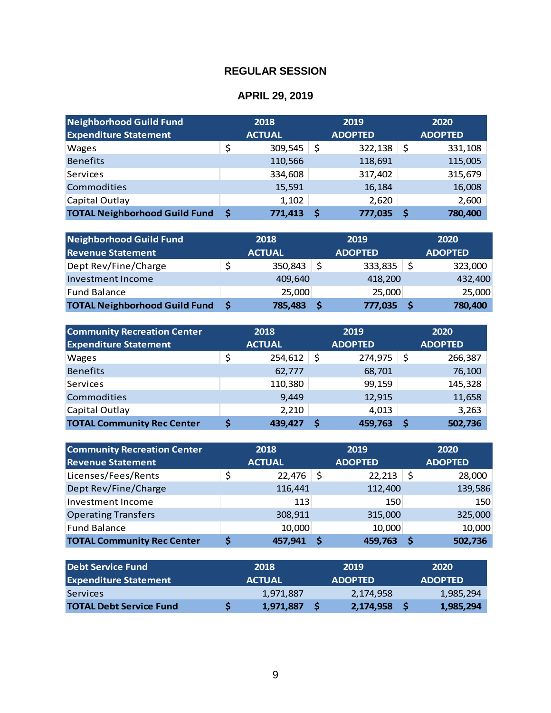| Neighborhood Guild Fund<br><b>Expenditure Statement</b> | 2018<br><b>ACTUAL</b> |    | 2019<br><b>ADOPTED</b> |    | 2020<br><b>ADOPTED</b> |
|---------------------------------------------------------|-----------------------|----|------------------------|----|------------------------|
| <b>Wages</b>                                            | \$<br>309,545         | \$ | 322,138                | \$ | 331,108                |
| <b>Benefits</b>                                         | 110,566               |    | 118,691                |    | 115,005                |
| Services                                                | 334,608               |    | 317,402                |    | 315,679                |
| Commodities                                             | 15,591                |    | 16,184                 |    | 16,008                 |
| Capital Outlay                                          | 1,102                 |    | 2,620                  |    | 2,600                  |
| <b>TOTAL Neighborhood Guild Fund</b>                    | 771,413               | S  | 777,035                | S  | 780,400                |

| Neighborhood Guild Fund              | 2018          |    | 2019           |     | 2020           |
|--------------------------------------|---------------|----|----------------|-----|----------------|
| <b>Revenue Statement</b>             | <b>ACTUAL</b> |    | <b>ADOPTED</b> |     | <b>ADOPTED</b> |
| Dept Rev/Fine/Charge                 | 350,843       | .S | 333,835        | \$, | 323,000        |
| Investment Income                    | 409,640       |    | 418,200        |     | 432,400        |
| <b>Fund Balance</b>                  | 25,000        |    | 25,000         |     | 25,000         |
| <b>TOTAL Neighborhood Guild Fund</b> | 785,483       |    | 777,035        |     | 780,400        |

| <b>Community Recreation Center</b> | 2018          |    | 2019           |    | 2020           |
|------------------------------------|---------------|----|----------------|----|----------------|
| <b>Expenditure Statement</b>       | <b>ACTUAL</b> |    | <b>ADOPTED</b> |    | <b>ADOPTED</b> |
| <b>Wages</b>                       | \$<br>254,612 | \$ | 274,975        | \$ | 266,387        |
| <b>Benefits</b>                    | 62,777        |    | 68,701         |    | 76,100         |
| Services                           | 110,380       |    | 99,159         |    | 145,328        |
| <b>Commodities</b>                 | 9,449         |    | 12,915         |    | 11,658         |
| Capital Outlay                     | 2,210         |    | 4,013          |    | 3,263          |
| <b>TOTAL Community Rec Center</b>  | 439,427       | S  | 459,763        | S  | 502,736        |

| <b>Community Recreation Center</b><br><b>Revenue Statement</b> | 2018<br><b>ACTUAL</b> |     | 2019<br><b>ADOPTED</b> |     | 2020<br><b>ADOPTED</b> |
|----------------------------------------------------------------|-----------------------|-----|------------------------|-----|------------------------|
| Licenses/Fees/Rents                                            | \$<br>22,476          | -\$ | 22,213                 | -\$ | 28,000                 |
| Dept Rev/Fine/Charge                                           | 116,441               |     | 112,400                |     | 139,586                |
| Investment Income                                              | 113                   |     | 150                    |     | 150                    |
| <b>Operating Transfers</b>                                     | 308,911               |     | 315,000                |     | 325,000                |
| <b>Fund Balance</b>                                            | 10,000                |     | 10,000                 |     | 10,000                 |
| <b>TOTAL Community Rec Center</b>                              | 457,941               |     | 459,763                |     | 502,736                |

| Debt Service Fund              | 2018          | 2019           | 2020           |
|--------------------------------|---------------|----------------|----------------|
| <b>Expenditure Statement</b>   | <b>ACTUAL</b> | <b>ADOPTED</b> | <b>ADOPTED</b> |
| Services                       | 1,971,887     | 2,174,958      | 1,985,294      |
| <b>TOTAL Debt Service Fund</b> | 1,971,887     | 2,174,958      | 1,985,294      |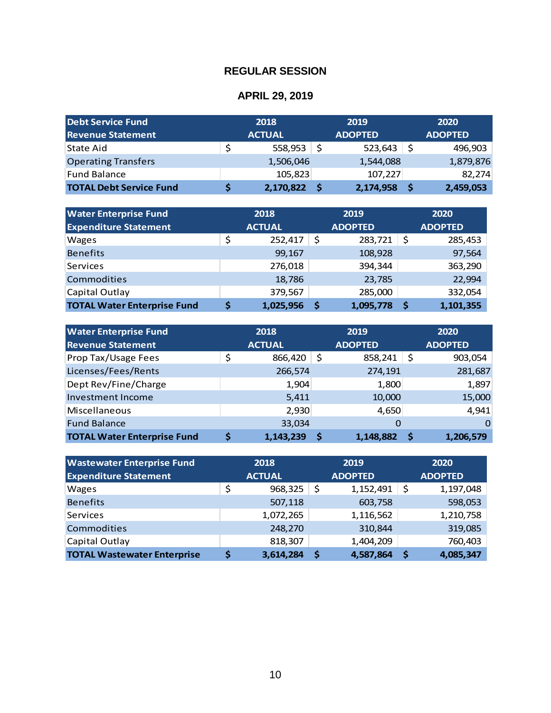| Debt Service Fund              | 2018          |    | 2019           | 2020           |
|--------------------------------|---------------|----|----------------|----------------|
| <b>Revenue Statement</b>       | <b>ACTUAL</b> |    | <b>ADOPTED</b> | <b>ADOPTED</b> |
| State Aid                      | \$<br>558,953 | S. | 523,643        | 496,903        |
| <b>Operating Transfers</b>     | 1,506,046     |    | 1,544,088      | 1,879,876      |
| Fund Balance                   | 105,823       |    | 107,227        | 82,274         |
| <b>TOTAL Debt Service Fund</b> | 2,170,822     |    | 2,174,958      | 2,459,053      |

| <b>Water Enterprise Fund</b>       | 2018 |               | 2019 |                |                | 2020      |  |
|------------------------------------|------|---------------|------|----------------|----------------|-----------|--|
| <b>Expenditure Statement</b>       |      | <b>ACTUAL</b> |      | <b>ADOPTED</b> | <b>ADOPTED</b> |           |  |
| <b>Wages</b>                       | \$   | 252,417       | \$   | 283,721        | \$             | 285,453   |  |
| <b>Benefits</b>                    |      | 99,167        |      | 108,928        |                | 97,564    |  |
| Services                           |      | 276,018       |      | 394,344        |                | 363,290   |  |
| Commodities                        |      | 18,786        |      | 23,785         |                | 22,994    |  |
| Capital Outlay                     |      | 379,567       |      | 285,000        |                | 332,054   |  |
| <b>TOTAL Water Enterprise Fund</b> |      | 1,025,956     | Ŝ    | 1,095,778      | .S             | 1,101,355 |  |

| <b>Operating Transfers</b><br><b>Fund Balance</b><br>\$<br><b>TOTAL Debt Service Fund</b><br><b>Water Enterprise Fund</b><br>2018<br><b>Expenditure Statement</b><br><b>ACTUAL</b><br>\$<br>Wages<br><b>Benefits</b><br>Services<br>Commodities<br>Capital Outlay<br>\$<br><b>TOTAL Water Enterprise Fund</b><br><b>Water Enterprise Fund</b><br>2018<br><b>Revenue Statement</b><br><b>ACTUAL</b><br>\$<br>Prop Tax/Usage Fees<br>Licenses/Fees/Rents<br>Dept Rev/Fine/Charge | 1,506,046<br>105,823<br>\$<br>2,170,822<br>\$<br>252,417<br>99,167<br>276,018<br>18,786<br>379,567<br>\$<br>1,025,956<br>866,420 | 1,544,088<br>107,227<br>2,174,958<br>2019<br><b>ADOPTED</b><br>283,721<br>108,928<br>394,344<br>23,785<br>285,000<br>1,095,778<br>2019<br><b>ADOPTED</b> | \$<br>\$<br>\$ | 1,879,876<br>82,274<br>2,459,053<br>2020<br><b>ADOPTED</b><br>285,453<br>97,564<br>363,290<br>22,994<br>332,054<br>1,101,355<br>2020 |  |
|--------------------------------------------------------------------------------------------------------------------------------------------------------------------------------------------------------------------------------------------------------------------------------------------------------------------------------------------------------------------------------------------------------------------------------------------------------------------------------|----------------------------------------------------------------------------------------------------------------------------------|----------------------------------------------------------------------------------------------------------------------------------------------------------|----------------|--------------------------------------------------------------------------------------------------------------------------------------|--|
|                                                                                                                                                                                                                                                                                                                                                                                                                                                                                |                                                                                                                                  |                                                                                                                                                          |                |                                                                                                                                      |  |
|                                                                                                                                                                                                                                                                                                                                                                                                                                                                                |                                                                                                                                  |                                                                                                                                                          |                |                                                                                                                                      |  |
|                                                                                                                                                                                                                                                                                                                                                                                                                                                                                |                                                                                                                                  |                                                                                                                                                          |                |                                                                                                                                      |  |
|                                                                                                                                                                                                                                                                                                                                                                                                                                                                                |                                                                                                                                  |                                                                                                                                                          |                |                                                                                                                                      |  |
|                                                                                                                                                                                                                                                                                                                                                                                                                                                                                |                                                                                                                                  |                                                                                                                                                          |                |                                                                                                                                      |  |
|                                                                                                                                                                                                                                                                                                                                                                                                                                                                                |                                                                                                                                  |                                                                                                                                                          |                |                                                                                                                                      |  |
|                                                                                                                                                                                                                                                                                                                                                                                                                                                                                |                                                                                                                                  |                                                                                                                                                          |                |                                                                                                                                      |  |
|                                                                                                                                                                                                                                                                                                                                                                                                                                                                                |                                                                                                                                  |                                                                                                                                                          |                |                                                                                                                                      |  |
|                                                                                                                                                                                                                                                                                                                                                                                                                                                                                |                                                                                                                                  |                                                                                                                                                          |                |                                                                                                                                      |  |
|                                                                                                                                                                                                                                                                                                                                                                                                                                                                                |                                                                                                                                  |                                                                                                                                                          |                |                                                                                                                                      |  |
|                                                                                                                                                                                                                                                                                                                                                                                                                                                                                |                                                                                                                                  |                                                                                                                                                          |                |                                                                                                                                      |  |
|                                                                                                                                                                                                                                                                                                                                                                                                                                                                                |                                                                                                                                  |                                                                                                                                                          |                |                                                                                                                                      |  |
|                                                                                                                                                                                                                                                                                                                                                                                                                                                                                |                                                                                                                                  |                                                                                                                                                          |                |                                                                                                                                      |  |
|                                                                                                                                                                                                                                                                                                                                                                                                                                                                                |                                                                                                                                  |                                                                                                                                                          |                |                                                                                                                                      |  |
|                                                                                                                                                                                                                                                                                                                                                                                                                                                                                |                                                                                                                                  |                                                                                                                                                          |                | <b>ADOPTED</b>                                                                                                                       |  |
|                                                                                                                                                                                                                                                                                                                                                                                                                                                                                |                                                                                                                                  | \$<br>858,241                                                                                                                                            | \$             | 903,054                                                                                                                              |  |
|                                                                                                                                                                                                                                                                                                                                                                                                                                                                                | 266,574                                                                                                                          | 274,191                                                                                                                                                  |                | 281,687                                                                                                                              |  |
|                                                                                                                                                                                                                                                                                                                                                                                                                                                                                | 1,800<br>1,904                                                                                                                   |                                                                                                                                                          |                |                                                                                                                                      |  |
| <b>Investment Income</b>                                                                                                                                                                                                                                                                                                                                                                                                                                                       | 5,411<br>10,000                                                                                                                  |                                                                                                                                                          |                |                                                                                                                                      |  |
| Miscellaneous                                                                                                                                                                                                                                                                                                                                                                                                                                                                  | 2,930<br>4,650                                                                                                                   |                                                                                                                                                          |                |                                                                                                                                      |  |
| <b>Fund Balance</b>                                                                                                                                                                                                                                                                                                                                                                                                                                                            | 33,034                                                                                                                           |                                                                                                                                                          | 0              | 0                                                                                                                                    |  |
| \$<br><b>TOTAL Water Enterprise Fund</b>                                                                                                                                                                                                                                                                                                                                                                                                                                       | 1,143,239<br>\$                                                                                                                  | 1,148,882                                                                                                                                                | \$             | 1,206,579                                                                                                                            |  |
|                                                                                                                                                                                                                                                                                                                                                                                                                                                                                |                                                                                                                                  |                                                                                                                                                          |                |                                                                                                                                      |  |
| 2018<br><b>Wastewater Enterprise Fund</b>                                                                                                                                                                                                                                                                                                                                                                                                                                      |                                                                                                                                  | 2019                                                                                                                                                     |                | 2020                                                                                                                                 |  |
| <b>Expenditure Statement</b><br><b>ACTUAL</b>                                                                                                                                                                                                                                                                                                                                                                                                                                  |                                                                                                                                  | <b>ADOPTED</b>                                                                                                                                           |                | <b>ADOPTED</b>                                                                                                                       |  |
| \$<br>Wages                                                                                                                                                                                                                                                                                                                                                                                                                                                                    | \$<br>968,325                                                                                                                    | 1,152,491                                                                                                                                                | \$             | 1,197,048                                                                                                                            |  |
| <b>Benefits</b>                                                                                                                                                                                                                                                                                                                                                                                                                                                                | 507,118                                                                                                                          | 603,758                                                                                                                                                  |                | 598,053                                                                                                                              |  |
| Services                                                                                                                                                                                                                                                                                                                                                                                                                                                                       | 1,072,265                                                                                                                        | 1,116,562                                                                                                                                                |                | 1,210,758                                                                                                                            |  |
| Commodities                                                                                                                                                                                                                                                                                                                                                                                                                                                                    | 248,270                                                                                                                          | 310,844                                                                                                                                                  |                | 319,085                                                                                                                              |  |
| Capital Outlay                                                                                                                                                                                                                                                                                                                                                                                                                                                                 | 818,307                                                                                                                          | 1,404,209                                                                                                                                                |                | 760,403                                                                                                                              |  |
| <b>TOTAL Wastewater Enterprise</b><br>\$                                                                                                                                                                                                                                                                                                                                                                                                                                       | $3,614,284$ \$                                                                                                                   | 4,587,864                                                                                                                                                | \$             | 4,085,347                                                                                                                            |  |

| <b>Wastewater Enterprise Fund</b><br><b>Expenditure Statement</b> | 2018<br><b>ACTUAL</b> |    | 2019<br><b>ADOPTED</b> | 2020<br><b>ADOPTED</b> |           |  |
|-------------------------------------------------------------------|-----------------------|----|------------------------|------------------------|-----------|--|
| <b>Wages</b>                                                      | \$<br>968,325         | \$ | 1,152,491              | \$                     | 1,197,048 |  |
| <b>Benefits</b>                                                   | 507,118               |    | 603,758                |                        | 598,053   |  |
| <b>Services</b>                                                   | 1,072,265             |    | 1,116,562              |                        | 1,210,758 |  |
| <b>Commodities</b>                                                | 248,270               |    | 310,844                |                        | 319,085   |  |
| Capital Outlay                                                    | 818,307               |    | 1,404,209              |                        | 760,403   |  |
| <b>TOTAL Wastewater Enterprise</b>                                | 3,614,284             | S  | 4,587,864              | S                      | 4,085,347 |  |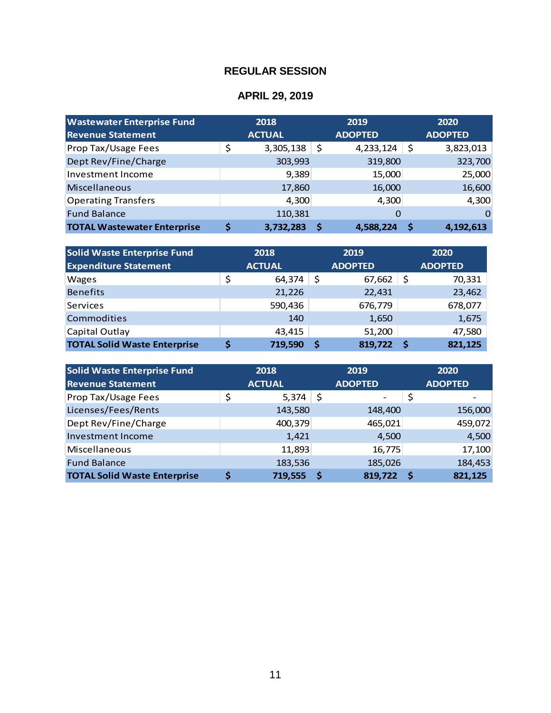| <b>Wastewater Enterprise Fund</b>  | 2018 |               |    | 2019           | 2020 |                |
|------------------------------------|------|---------------|----|----------------|------|----------------|
| <b>Revenue Statement</b>           |      | <b>ACTUAL</b> |    | <b>ADOPTED</b> |      | <b>ADOPTED</b> |
| Prop Tax/Usage Fees                | \$   | 3,305,138     | \$ | 4,233,124      | -\$  | 3,823,013      |
| Dept Rev/Fine/Charge               |      | 303,993       |    | 319,800        |      | 323,700        |
| Investment Income                  |      | 9,389         |    | 15,000         |      | 25,000         |
| <b>Miscellaneous</b>               |      | 17,860        |    | 16,000         |      | 16,600         |
| <b>Operating Transfers</b>         |      | 4,300         |    | 4,300          |      | 4,300          |
| <b>Fund Balance</b>                |      | 110,381       |    | 0              |      | 0              |
| <b>TOTAL Wastewater Enterprise</b> | S    | 3,732,283     | S  | 4,588,224      | S    | 4,192,613      |

| <b>Solid Waste Enterprise Fund</b>  | 2018 |               | 2019 |                |    | 2020           |  |
|-------------------------------------|------|---------------|------|----------------|----|----------------|--|
| <b>Expenditure Statement</b>        |      | <b>ACTUAL</b> |      | <b>ADOPTED</b> |    | <b>ADOPTED</b> |  |
| <b>Wages</b>                        | \$   | 64,374        | \$   | 67,662         | \$ | 70,331         |  |
| <b>Benefits</b>                     |      | 21,226        |      | 22,431         |    | 23,462         |  |
| Services                            |      | 590,436       |      | 676,779        |    | 678,077        |  |
| <b>Commodities</b>                  |      | 140           |      | 1,650          |    | 1,675          |  |
| Capital Outlay                      |      | 43,415        |      | 51,200         |    | 47,580         |  |
| <b>TOTAL Solid Waste Enterprise</b> |      | 719,590       | S    | 819,722        | .S | 821,125        |  |

| <b>Solid Waste Enterprise Fund</b>  | 2018          | 2019 |                |  | 2020           |  |
|-------------------------------------|---------------|------|----------------|--|----------------|--|
| <b>Revenue Statement</b>            | <b>ACTUAL</b> |      | <b>ADOPTED</b> |  | <b>ADOPTED</b> |  |
| Prop Tax/Usage Fees                 | \$<br>5,374   | \$   |                |  |                |  |
| Licenses/Fees/Rents                 | 143,580       |      | 148,400        |  | 156,000        |  |
| Dept Rev/Fine/Charge                | 400,379       |      | 465,021        |  | 459,072        |  |
| <b>Investment Income</b>            | 1,421         |      | 4,500          |  | 4,500          |  |
| Miscellaneous                       | 11,893        |      | 16,775         |  | 17,100         |  |
| <b>Fund Balance</b>                 | 183,536       |      | 185,026        |  | 184,453        |  |
| <b>TOTAL Solid Waste Enterprise</b> | \$<br>719,555 |      | 819,722        |  | 821,125        |  |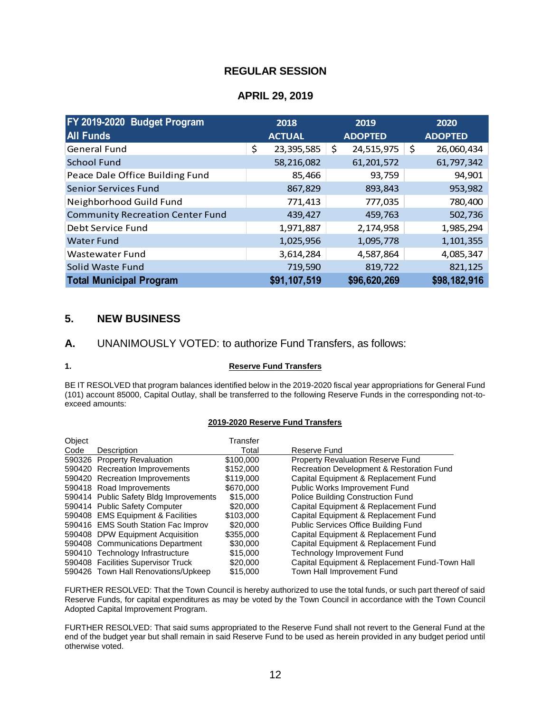### **APRIL 29, 2019**

| FY 2019-2020 Budget Program<br><b>All Funds</b> | 2018<br><b>ACTUAL</b> | 2019<br><b>ADOPTED</b> | 2020<br><b>ADOPTED</b> |
|-------------------------------------------------|-----------------------|------------------------|------------------------|
| <b>General Fund</b>                             | \$<br>23,395,585      | \$<br>24,515,975       | \$<br>26,060,434       |
| <b>School Fund</b>                              | 58,216,082            | 61,201,572             | 61,797,342             |
| Peace Dale Office Building Fund                 | 85,466                | 93,759                 | 94,901                 |
| <b>Senior Services Fund</b>                     | 867,829               | 893,843                | 953,982                |
| Neighborhood Guild Fund                         | 771,413               | 777,035                | 780,400                |
| <b>Community Recreation Center Fund</b>         | 439,427               | 459,763                | 502,736                |
| Debt Service Fund                               | 1,971,887             | 2,174,958              | 1,985,294              |
| Water Fund                                      | 1,025,956             | 1,095,778              | 1,101,355              |
| Wastewater Fund                                 | 3,614,284             | 4,587,864              | 4,085,347              |
| Solid Waste Fund                                | 719,590               | 819,722                | 821,125                |
| <b>Total Municipal Program</b>                  | \$91,107,519          | \$96,620,269           | \$98,182,916           |

## **5. NEW BUSINESS**

#### **A.** UNANIMOUSLY VOTED: to authorize Fund Transfers, as follows:

#### **1. Reserve Fund Transfers**

BE IT RESOLVED that program balances identified below in the 2019-2020 fiscal year appropriations for General Fund (101) account 85000, Capital Outlay, shall be transferred to the following Reserve Funds in the corresponding not-toexceed amounts:

#### **2019-2020 Reserve Fund Transfers**

| Object |                                        | Transfer  |                                                |
|--------|----------------------------------------|-----------|------------------------------------------------|
| Code   | Description                            | Total     | Reserve Fund                                   |
|        | 590326 Property Revaluation            | \$100,000 | <b>Property Revaluation Reserve Fund</b>       |
|        | 590420 Recreation Improvements         | \$152,000 | Recreation Development & Restoration Fund      |
|        | 590420 Recreation Improvements         | \$119,000 | Capital Equipment & Replacement Fund           |
|        | 590418 Road Improvements               | \$670,000 | Public Works Improvement Fund                  |
|        | 590414 Public Safety Bldg Improvements | \$15,000  | Police Building Construction Fund              |
|        | 590414 Public Safety Computer          | \$20,000  | Capital Equipment & Replacement Fund           |
|        | 590408 EMS Equipment & Facilities      | \$103,000 | Capital Equipment & Replacement Fund           |
|        | 590416 EMS South Station Fac Improv    | \$20,000  | Public Services Office Building Fund           |
|        | 590408 DPW Equipment Acquisition       | \$355,000 | Capital Equipment & Replacement Fund           |
|        | 590408 Communications Department       | \$30,000  | Capital Equipment & Replacement Fund           |
|        | 590410 Technology Infrastructure       | \$15,000  | <b>Technology Improvement Fund</b>             |
|        | 590408 Facilities Supervisor Truck     | \$20,000  | Capital Equipment & Replacement Fund-Town Hall |
|        | 590426 Town Hall Renovations/Upkeep    | \$15,000  | Town Hall Improvement Fund                     |
|        |                                        |           |                                                |

FURTHER RESOLVED: That the Town Council is hereby authorized to use the total funds, or such part thereof of said Reserve Funds, for capital expenditures as may be voted by the Town Council in accordance with the Town Council Adopted Capital Improvement Program.

FURTHER RESOLVED: That said sums appropriated to the Reserve Fund shall not revert to the General Fund at the end of the budget year but shall remain in said Reserve Fund to be used as herein provided in any budget period until otherwise voted.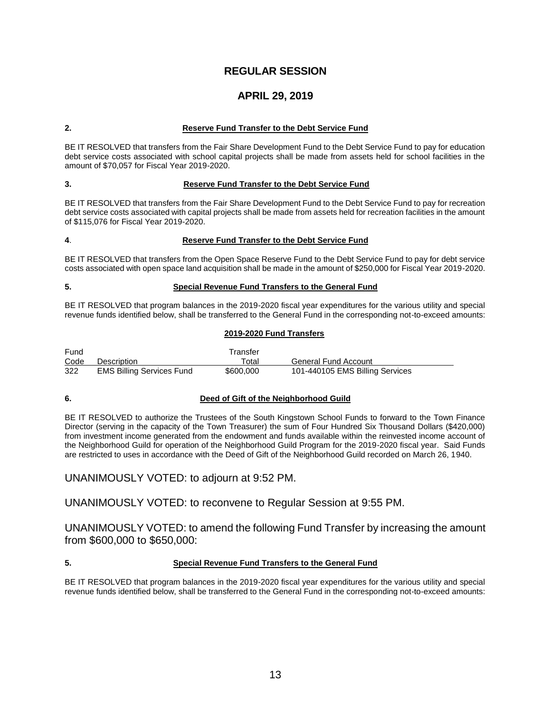## **APRIL 29, 2019**

#### **2. Reserve Fund Transfer to the Debt Service Fund**

BE IT RESOLVED that transfers from the Fair Share Development Fund to the Debt Service Fund to pay for education debt service costs associated with school capital projects shall be made from assets held for school facilities in the amount of \$70,057 for Fiscal Year 2019-2020.

#### **3. Reserve Fund Transfer to the Debt Service Fund**

BE IT RESOLVED that transfers from the Fair Share Development Fund to the Debt Service Fund to pay for recreation debt service costs associated with capital projects shall be made from assets held for recreation facilities in the amount of \$115,076 for Fiscal Year 2019-2020.

#### **4**. **Reserve Fund Transfer to the Debt Service Fund**

BE IT RESOLVED that transfers from the Open Space Reserve Fund to the Debt Service Fund to pay for debt service costs associated with open space land acquisition shall be made in the amount of \$250,000 for Fiscal Year 2019-2020.

#### **5. Special Revenue Fund Transfers to the General Fund**

BE IT RESOLVED that program balances in the 2019-2020 fiscal year expenditures for the various utility and special revenue funds identified below, shall be transferred to the General Fund in the corresponding not-to-exceed amounts:

#### **2019-2020 Fund Transfers**

| Fund |                                  | Transfer  |                                 |
|------|----------------------------------|-----------|---------------------------------|
| Code | Description                      | ™otal     | General Fund Account            |
| 322  | <b>EMS Billing Services Fund</b> | \$600,000 | 101-440105 EMS Billing Services |

#### **6. Deed of Gift of the Neighborhood Guild**

BE IT RESOLVED to authorize the Trustees of the South Kingstown School Funds to forward to the Town Finance Director (serving in the capacity of the Town Treasurer) the sum of Four Hundred Six Thousand Dollars (\$420,000) from investment income generated from the endowment and funds available within the reinvested income account of the Neighborhood Guild for operation of the Neighborhood Guild Program for the 2019-2020 fiscal year. Said Funds are restricted to uses in accordance with the Deed of Gift of the Neighborhood Guild recorded on March 26, 1940.

UNANIMOUSLY VOTED: to adjourn at 9:52 PM.

UNANIMOUSLY VOTED: to reconvene to Regular Session at 9:55 PM.

UNANIMOUSLY VOTED: to amend the following Fund Transfer by increasing the amount from \$600,000 to \$650,000:

#### **5. Special Revenue Fund Transfers to the General Fund**

BE IT RESOLVED that program balances in the 2019-2020 fiscal year expenditures for the various utility and special revenue funds identified below, shall be transferred to the General Fund in the corresponding not-to-exceed amounts: